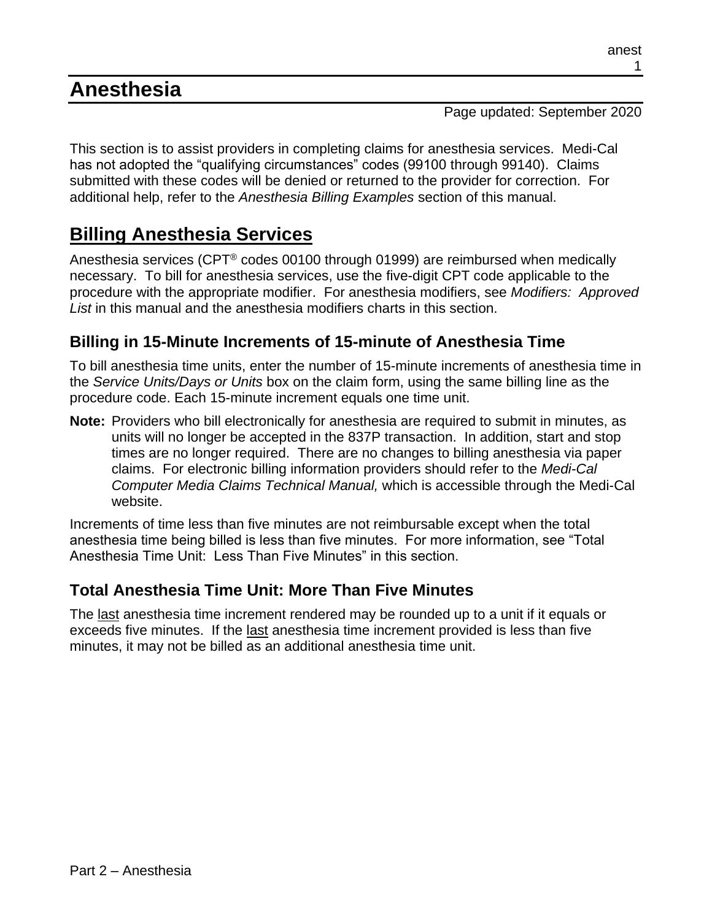# **Anesthesia**

Page updated: September 2020

This section is to assist providers in completing claims for anesthesia services. Medi-Cal has not adopted the "qualifying circumstances" codes (99100 through 99140). Claims submitted with these codes will be denied or returned to the provider for correction. For additional help, refer to the *Anesthesia Billing Examples* section of this manual.

# **Billing Anesthesia Services**

Anesthesia services (CPT® codes 00100 through 01999) are reimbursed when medically necessary. To bill for anesthesia services, use the five-digit CPT code applicable to the procedure with the appropriate modifier. For anesthesia modifiers, see *Modifiers: Approved List* in this manual and the anesthesia modifiers charts in this section.

## **Billing in 15-Minute Increments of 15-minute of Anesthesia Time**

To bill anesthesia time units, enter the number of 15-minute increments of anesthesia time in the *Service Units/Days or Units* box on the claim form, using the same billing line as the procedure code. Each 15-minute increment equals one time unit.

**Note:** Providers who bill electronically for anesthesia are required to submit in minutes, as units will no longer be accepted in the 837P transaction. In addition, start and stop times are no longer required. There are no changes to billing anesthesia via paper claims. For electronic billing information providers should refer to the *Medi-Cal Computer Media Claims Technical Manual,* which is accessible through the Medi-Cal website.

Increments of time less than five minutes are not reimbursable except when the total anesthesia time being billed is less than five minutes. For more information, see "Total Anesthesia Time Unit: Less Than Five Minutes" in this section.

## **Total Anesthesia Time Unit: More Than Five Minutes**

The last anesthesia time increment rendered may be rounded up to a unit if it equals or exceeds five minutes. If the last anesthesia time increment provided is less than five minutes, it may not be billed as an additional anesthesia time unit.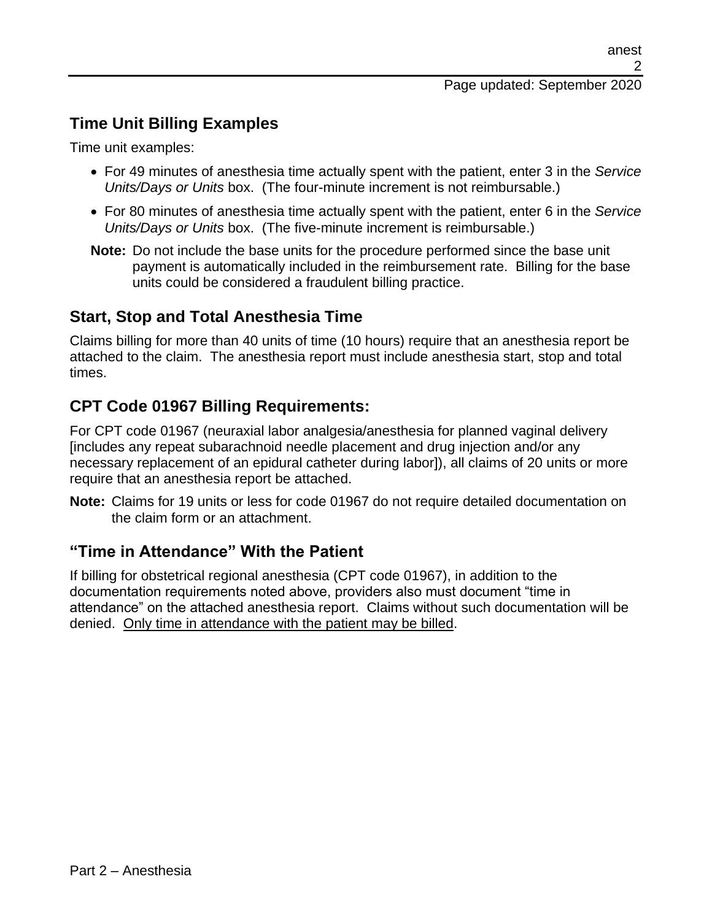## **Time Unit Billing Examples**

Time unit examples:

- For 49 minutes of anesthesia time actually spent with the patient, enter 3 in the *Service Units/Days or Units* box. (The four-minute increment is not reimbursable.)
- For 80 minutes of anesthesia time actually spent with the patient, enter 6 in the *Service Units/Days or Units* box. (The five-minute increment is reimbursable.)
- **Note:** Do not include the base units for the procedure performed since the base unit payment is automatically included in the reimbursement rate. Billing for the base units could be considered a fraudulent billing practice.

### **Start, Stop and Total Anesthesia Time**

Claims billing for more than 40 units of time (10 hours) require that an anesthesia report be attached to the claim. The anesthesia report must include anesthesia start, stop and total times.

## **CPT Code 01967 Billing Requirements:**

For CPT code 01967 (neuraxial labor analgesia/anesthesia for planned vaginal delivery [includes any repeat subarachnoid needle placement and drug injection and/or any necessary replacement of an epidural catheter during labor]), all claims of 20 units or more require that an anesthesia report be attached.

**Note:** Claims for 19 units or less for code 01967 do not require detailed documentation on the claim form or an attachment.

### **"Time in Attendance" With the Patient**

If billing for obstetrical regional anesthesia (CPT code 01967), in addition to the documentation requirements noted above, providers also must document "time in attendance" on the attached anesthesia report. Claims without such documentation will be denied. Only time in attendance with the patient may be billed.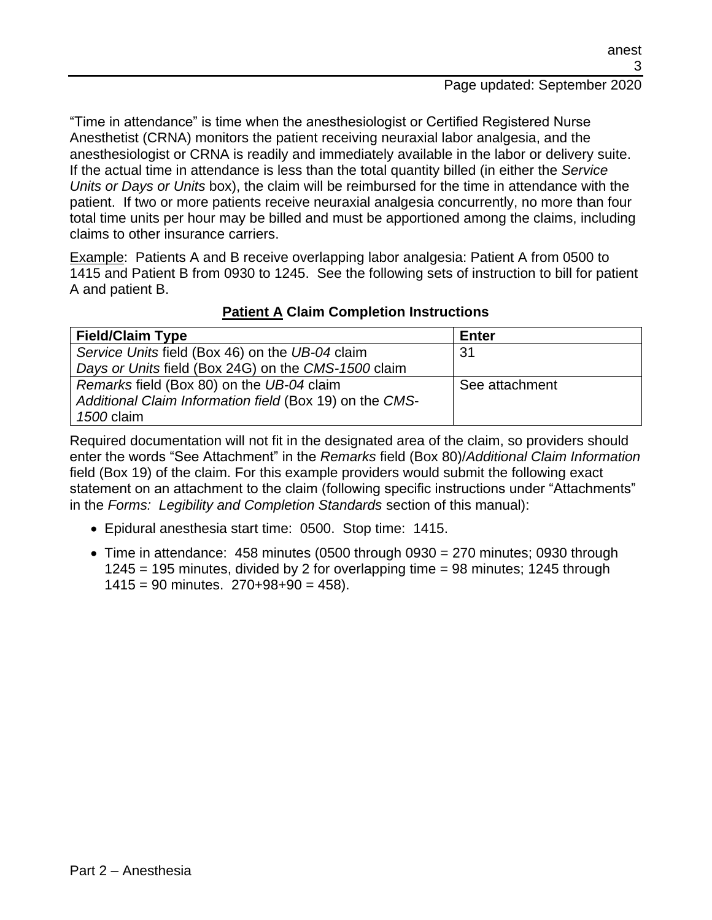"Time in attendance" is time when the anesthesiologist or Certified Registered Nurse Anesthetist (CRNA) monitors the patient receiving neuraxial labor analgesia, and the anesthesiologist or CRNA is readily and immediately available in the labor or delivery suite. If the actual time in attendance is less than the total quantity billed (in either the *Service Units or Days or Units* box), the claim will be reimbursed for the time in attendance with the patient. If two or more patients receive neuraxial analgesia concurrently, no more than four total time units per hour may be billed and must be apportioned among the claims, including claims to other insurance carriers.

Example: Patients A and B receive overlapping labor analgesia: Patient A from 0500 to 1415 and Patient B from 0930 to 1245. See the following sets of instruction to bill for patient A and patient B.

| <b>Field/Claim Type</b>                                 | <b>Enter</b>   |
|---------------------------------------------------------|----------------|
| Service Units field (Box 46) on the UB-04 claim         | 31             |
| Days or Units field (Box 24G) on the CMS-1500 claim     |                |
| Remarks field (Box 80) on the UB-04 claim               | See attachment |
| Additional Claim Information field (Box 19) on the CMS- |                |
| 1500 claim                                              |                |

#### **Patient A Claim Completion Instructions**

Required documentation will not fit in the designated area of the claim, so providers should enter the words "See Attachment" in the *Remarks* field (Box 80)/*Additional Claim Information* field (Box 19) of the claim. For this example providers would submit the following exact statement on an attachment to the claim (following specific instructions under "Attachments" in the *Forms: Legibility and Completion Standards* section of this manual):

- Epidural anesthesia start time: 0500. Stop time: 1415.
- Time in attendance:  $458$  minutes (0500 through 0930 = 270 minutes; 0930 through 1245 = 195 minutes, divided by 2 for overlapping time = 98 minutes; 1245 through  $1415 = 90$  minutes.  $270+98+90 = 458$ ).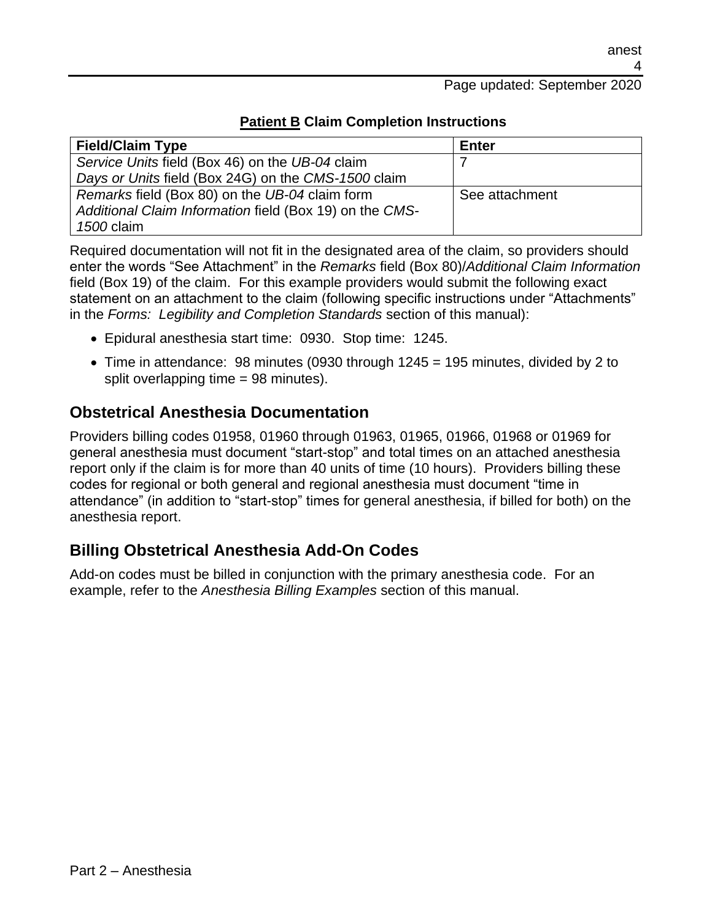#### Page updated: September 2020

| <b>Field/Claim Type</b>                                 | Enter          |
|---------------------------------------------------------|----------------|
| Service Units field (Box 46) on the UB-04 claim         |                |
| Days or Units field (Box 24G) on the CMS-1500 claim     |                |
| Remarks field (Box 80) on the UB-04 claim form          | See attachment |
| Additional Claim Information field (Box 19) on the CMS- |                |
| 1500 claim                                              |                |

#### **Patient B Claim Completion Instructions**

Required documentation will not fit in the designated area of the claim, so providers should enter the words "See Attachment" in the *Remarks* field (Box 80)/*Additional Claim Information* field (Box 19) of the claim. For this example providers would submit the following exact statement on an attachment to the claim (following specific instructions under "Attachments" in the *Forms: Legibility and Completion Standards* section of this manual):

- Epidural anesthesia start time: 0930. Stop time: 1245.
- Time in attendance: 98 minutes (0930 through 1245 = 195 minutes, divided by 2 to split overlapping time = 98 minutes).

#### **Obstetrical Anesthesia Documentation**

Providers billing codes 01958, 01960 through 01963, 01965, 01966, 01968 or 01969 for general anesthesia must document "start-stop" and total times on an attached anesthesia report only if the claim is for more than 40 units of time (10 hours). Providers billing these codes for regional or both general and regional anesthesia must document "time in attendance" (in addition to "start-stop" times for general anesthesia, if billed for both) on the anesthesia report.

#### **Billing Obstetrical Anesthesia Add-On Codes**

Add-on codes must be billed in conjunction with the primary anesthesia code. For an example, refer to the *Anesthesia Billing Examples* section of this manual.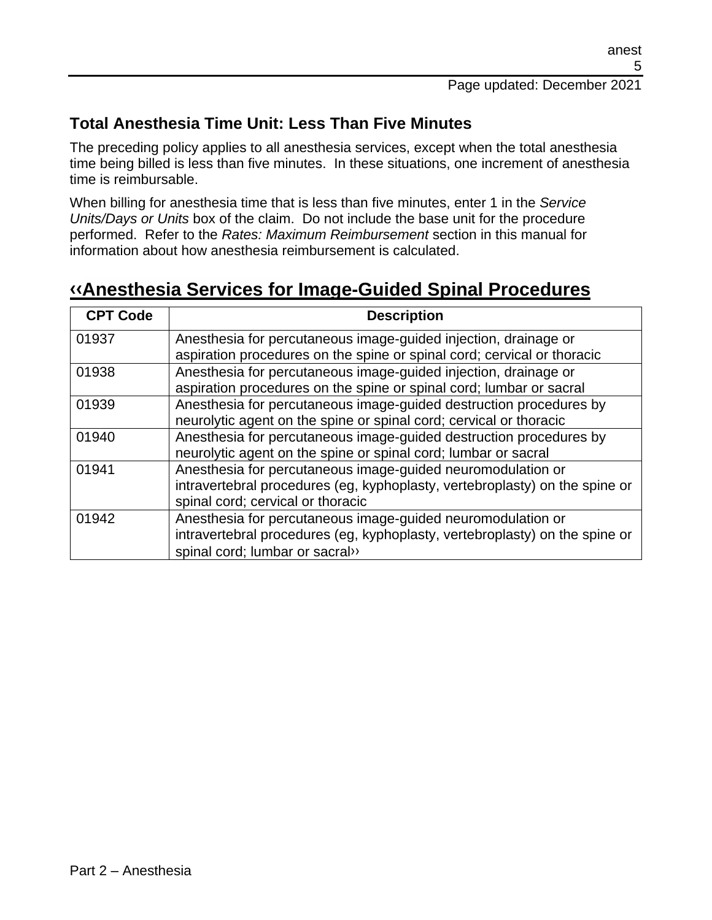## **Total Anesthesia Time Unit: Less Than Five Minutes**

The preceding policy applies to all anesthesia services, except when the total anesthesia time being billed is less than five minutes. In these situations, one increment of anesthesia time is reimbursable.

When billing for anesthesia time that is less than five minutes, enter 1 in the *Service Units/Days or Units* box of the claim. Do not include the base unit for the procedure performed. Refer to the *Rates: Maximum Reimbursement* section in this manual for information about how anesthesia reimbursement is calculated.

## **[‹‹A](#page-27-0)nesthesia Services for Image-Guided Spinal Procedures**

| <b>CPT Code</b> | <b>Description</b>                                                          |
|-----------------|-----------------------------------------------------------------------------|
| 01937           | Anesthesia for percutaneous image-guided injection, drainage or             |
|                 | aspiration procedures on the spine or spinal cord; cervical or thoracic     |
| 01938           | Anesthesia for percutaneous image-guided injection, drainage or             |
|                 | aspiration procedures on the spine or spinal cord; lumbar or sacral         |
| 01939           | Anesthesia for percutaneous image-guided destruction procedures by          |
|                 | neurolytic agent on the spine or spinal cord; cervical or thoracic          |
| 01940           | Anesthesia for percutaneous image-guided destruction procedures by          |
|                 | neurolytic agent on the spine or spinal cord; lumbar or sacral              |
| 01941           | Anesthesia for percutaneous image-guided neuromodulation or                 |
|                 | intravertebral procedures (eg, kyphoplasty, vertebroplasty) on the spine or |
|                 | spinal cord; cervical or thoracic                                           |
| 01942           | Anesthesia for percutaneous image-guided neuromodulation or                 |
|                 | intravertebral procedures (eg, kyphoplasty, vertebroplasty) on the spine or |
|                 | spinal cord; lumbar or sacral»                                              |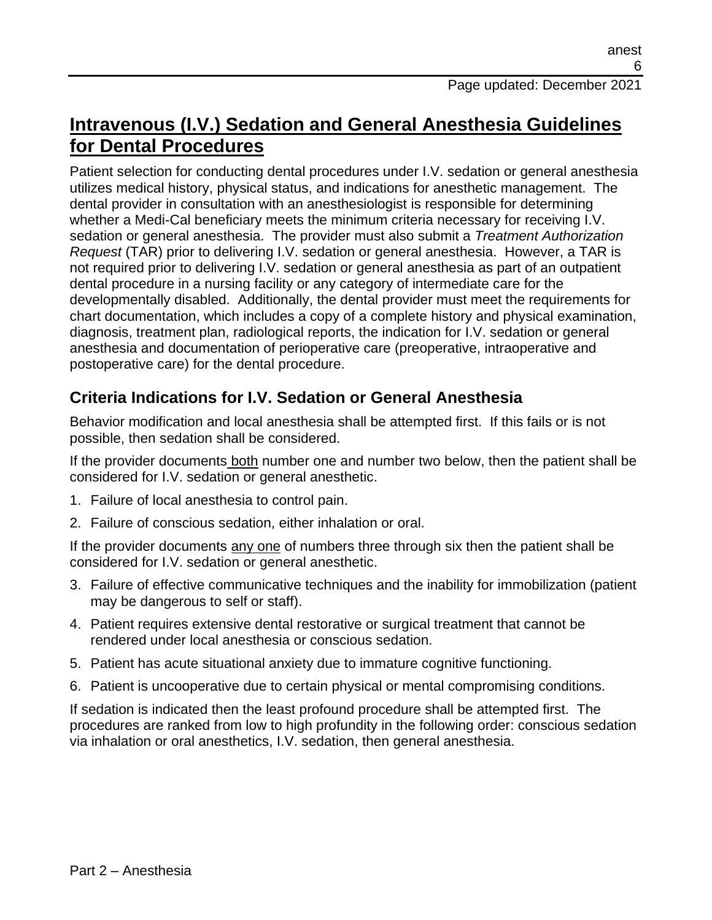## **Intravenous (I.V.) Sedation and General Anesthesia Guidelines for Dental Procedures**

Patient selection for conducting dental procedures under I.V. sedation or general anesthesia utilizes medical history, physical status, and indications for anesthetic management. The dental provider in consultation with an anesthesiologist is responsible for determining whether a Medi-Cal beneficiary meets the minimum criteria necessary for receiving I.V. sedation or general anesthesia. The provider must also submit a *Treatment Authorization Request* (TAR) prior to delivering I.V. sedation or general anesthesia. However, a TAR is not required prior to delivering I.V. sedation or general anesthesia as part of an outpatient dental procedure in a nursing facility or any category of intermediate care for the developmentally disabled. Additionally, the dental provider must meet the requirements for chart documentation, which includes a copy of a complete history and physical examination, diagnosis, treatment plan, radiological reports, the indication for I.V. sedation or general anesthesia and documentation of perioperative care (preoperative, intraoperative and postoperative care) for the dental procedure.

## **Criteria Indications for I.V. Sedation or General Anesthesia**

Behavior modification and local anesthesia shall be attempted first. If this fails or is not possible, then sedation shall be considered.

If the provider documents both number one and number two below, then the patient shall be considered for I.V. sedation or general anesthetic.

- 1. Failure of local anesthesia to control pain.
- 2. Failure of conscious sedation, either inhalation or oral.

If the provider documents any one of numbers three through six then the patient shall be considered for I.V. sedation or general anesthetic.

- 3. Failure of effective communicative techniques and the inability for immobilization (patient may be dangerous to self or staff).
- 4. Patient requires extensive dental restorative or surgical treatment that cannot be rendered under local anesthesia or conscious sedation.
- 5. Patient has acute situational anxiety due to immature cognitive functioning.
- 6. Patient is uncooperative due to certain physical or mental compromising conditions.

If sedation is indicated then the least profound procedure shall be attempted first. The procedures are ranked from low to high profundity in the following order: conscious sedation via inhalation or oral anesthetics, I.V. sedation, then general anesthesia.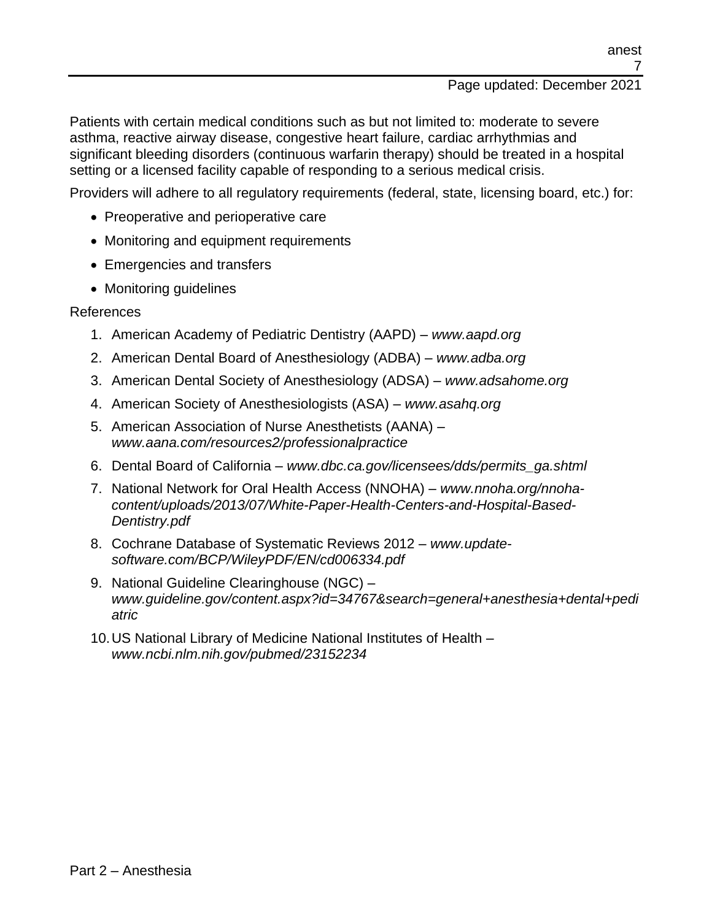#### Page updated: December 2021

Patients with certain medical conditions such as but not limited to: moderate to severe asthma, reactive airway disease, congestive heart failure, cardiac arrhythmias and significant bleeding disorders (continuous warfarin therapy) should be treated in a hospital setting or a licensed facility capable of responding to a serious medical crisis.

Providers will adhere to all regulatory requirements (federal, state, licensing board, etc.) for:

- Preoperative and perioperative care
- Monitoring and equipment requirements
- Emergencies and transfers
- Monitoring quidelines

#### References

- 1. American Academy of Pediatric Dentistry (AAPD) *www.aapd.org*
- 2. American Dental Board of Anesthesiology (ADBA) *www.adba.org*
- 3. American Dental Society of Anesthesiology (ADSA) *www.adsahome.org*
- 4. American Society of Anesthesiologists (ASA) *www.asahq.org*
- 5. American Association of Nurse Anesthetists (AANA) *www.aana.com/resources2/professionalpractice*
- 6. Dental Board of California *www.dbc.ca.gov/licensees/dds/permits\_ga.shtml*
- 7. National Network for Oral Health Access (NNOHA) *www.nnoha.org/nnohacontent/uploads/2013/07/White-Paper-Health-Centers-and-Hospital-Based-Dentistry.pdf*
- 8. Cochrane Database of Systematic Reviews 2012 *www.updatesoftware.com/BCP/WileyPDF/EN/cd006334.pdf*
- 9. National Guideline Clearinghouse (NGC) *www.guideline.gov/content.aspx?id=34767&search=general+anesthesia+dental+pedi atric*
- 10.US National Library of Medicine National Institutes of Health *www.ncbi.nlm.nih.gov/pubmed/23152234*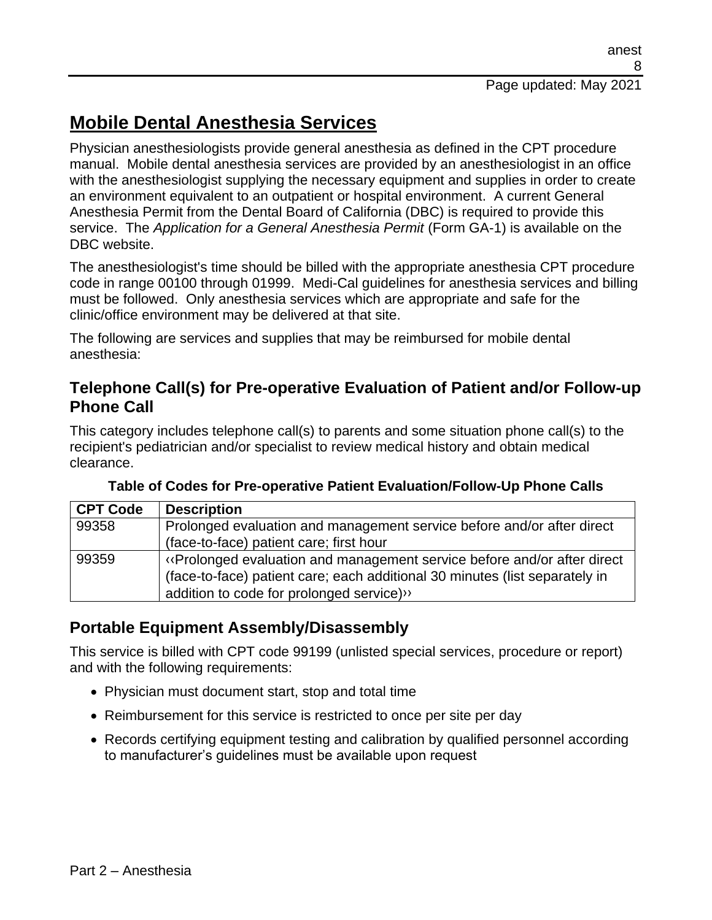# **Mobile Dental Anesthesia Services**

Physician anesthesiologists provide general anesthesia as defined in the CPT procedure manual. Mobile dental anesthesia services are provided by an anesthesiologist in an office with the anesthesiologist supplying the necessary equipment and supplies in order to create an environment equivalent to an outpatient or hospital environment. A current General Anesthesia Permit from the Dental Board of California (DBC) is required to provide this service. The *Application for a General Anesthesia Permit* (Form GA-1) is available on the DBC website.

The anesthesiologist's time should be billed with the appropriate anesthesia CPT procedure code in range 00100 through 01999. Medi-Cal guidelines for anesthesia services and billing must be followed. Only anesthesia services which are appropriate and safe for the clinic/office environment may be delivered at that site.

The following are services and supplies that may be reimbursed for mobile dental anesthesia:

### **Telephone Call(s) for Pre-operative Evaluation of Patient and/or Follow-up Phone Call**

This category includes telephone call(s) to parents and some situation phone call(s) to the recipient's pediatrician and/or specialist to review medical history and obtain medical clearance.

| <b>CPT Code</b> | <b>Description</b>                                                                                                                                                                                 |
|-----------------|----------------------------------------------------------------------------------------------------------------------------------------------------------------------------------------------------|
| 99358           | Prolonged evaluation and management service before and/or after direct                                                                                                                             |
|                 | (face-to-face) patient care; first hour                                                                                                                                                            |
| 99359           | «Prolonged evaluation and management service before and/or after direct<br>(face-to-face) patient care; each additional 30 minutes (list separately in<br>addition to code for prolonged service)" |

**Table of Codes for Pre-operative Patient Evaluation/Follow-Up Phone Calls**

## **Portable Equipment Assembly/Disassembly**

This service is billed with CPT code 99199 (unlisted special services, procedure or report) and with the following requirements:

- Physician must document start, stop and total time
- Reimbursement for this service is restricted to once per site per day
- Records certifying equipment testing and calibration by qualified personnel according to manufacturer's guidelines must be available upon request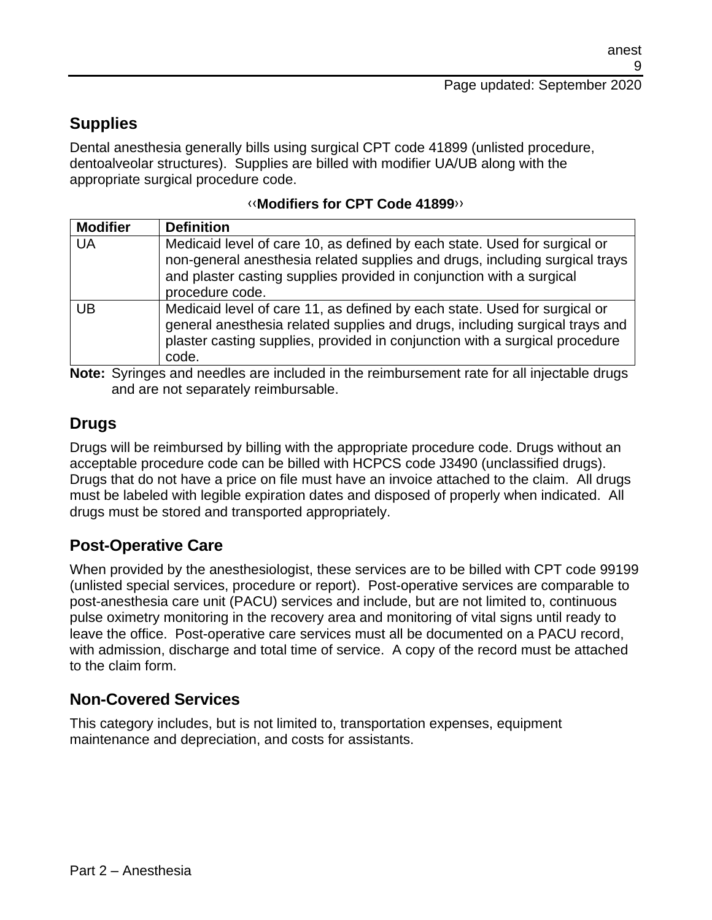## **Supplies**

Dental anesthesia generally bills using surgical CPT code 41899 (unlisted procedure, dentoalveolar structures). Supplies are billed with modifier UA/UB along with the appropriate surgical procedure code.

| <b>Modifier</b> | <b>Definition</b>                                                                                                                                                                                                                                   |
|-----------------|-----------------------------------------------------------------------------------------------------------------------------------------------------------------------------------------------------------------------------------------------------|
| <b>UA</b>       | Medicaid level of care 10, as defined by each state. Used for surgical or<br>non-general anesthesia related supplies and drugs, including surgical trays<br>and plaster casting supplies provided in conjunction with a surgical<br>procedure code. |
| UB              | Medicaid level of care 11, as defined by each state. Used for surgical or<br>general anesthesia related supplies and drugs, including surgical trays and<br>plaster casting supplies, provided in conjunction with a surgical procedure<br>code.    |

#### [‹‹](#page-27-0)**Modifiers for CPT Code 41899**[››](#page-27-1)

**Note:** Syringes and needles are included in the reimbursement rate for all injectable drugs and are not separately reimbursable.

### **Drugs**

Drugs will be reimbursed by billing with the appropriate procedure code. Drugs without an acceptable procedure code can be billed with HCPCS code J3490 (unclassified drugs). Drugs that do not have a price on file must have an invoice attached to the claim. All drugs must be labeled with legible expiration dates and disposed of properly when indicated. All drugs must be stored and transported appropriately.

### **Post-Operative Care**

When provided by the anesthesiologist, these services are to be billed with CPT code 99199 (unlisted special services, procedure or report). Post-operative services are comparable to post-anesthesia care unit (PACU) services and include, but are not limited to, continuous pulse oximetry monitoring in the recovery area and monitoring of vital signs until ready to leave the office. Post-operative care services must all be documented on a PACU record, with admission, discharge and total time of service. A copy of the record must be attached to the claim form.

### **Non-Covered Services**

This category includes, but is not limited to, transportation expenses, equipment maintenance and depreciation, and costs for assistants.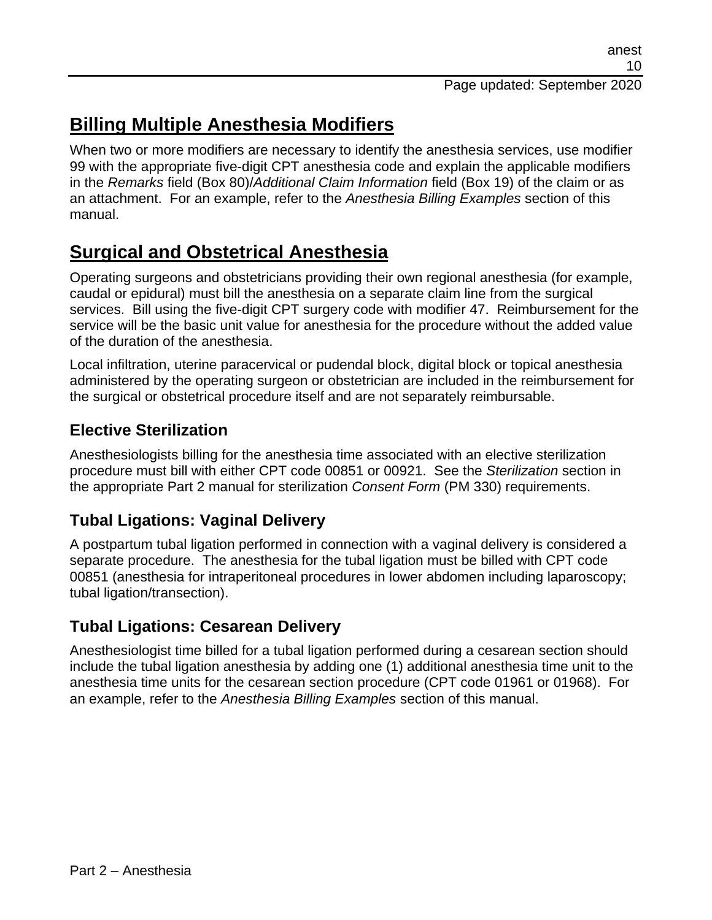# **Billing Multiple Anesthesia Modifiers**

When two or more modifiers are necessary to identify the anesthesia services, use modifier 99 with the appropriate five-digit CPT anesthesia code and explain the applicable modifiers in the *Remarks* field (Box 80)/*Additional Claim Information* field (Box 19) of the claim or as an attachment. For an example, refer to the *Anesthesia Billing Examples* section of this manual.

## **Surgical and Obstetrical Anesthesia**

Operating surgeons and obstetricians providing their own regional anesthesia (for example, caudal or epidural) must bill the anesthesia on a separate claim line from the surgical services. Bill using the five-digit CPT surgery code with modifier 47. Reimbursement for the service will be the basic unit value for anesthesia for the procedure without the added value of the duration of the anesthesia.

Local infiltration, uterine paracervical or pudendal block, digital block or topical anesthesia administered by the operating surgeon or obstetrician are included in the reimbursement for the surgical or obstetrical procedure itself and are not separately reimbursable.

## **Elective Sterilization**

Anesthesiologists billing for the anesthesia time associated with an elective sterilization procedure must bill with either CPT code 00851 or 00921. See the *Sterilization* section in the appropriate Part 2 manual for sterilization *Consent Form* (PM 330) requirements.

## **Tubal Ligations: Vaginal Delivery**

A postpartum tubal ligation performed in connection with a vaginal delivery is considered a separate procedure. The anesthesia for the tubal ligation must be billed with CPT code 00851 (anesthesia for intraperitoneal procedures in lower abdomen including laparoscopy; tubal ligation/transection).

## **Tubal Ligations: Cesarean Delivery**

Anesthesiologist time billed for a tubal ligation performed during a cesarean section should include the tubal ligation anesthesia by adding one (1) additional anesthesia time unit to the anesthesia time units for the cesarean section procedure (CPT code 01961 or 01968). For an example, refer to the *Anesthesia Billing Examples* section of this manual.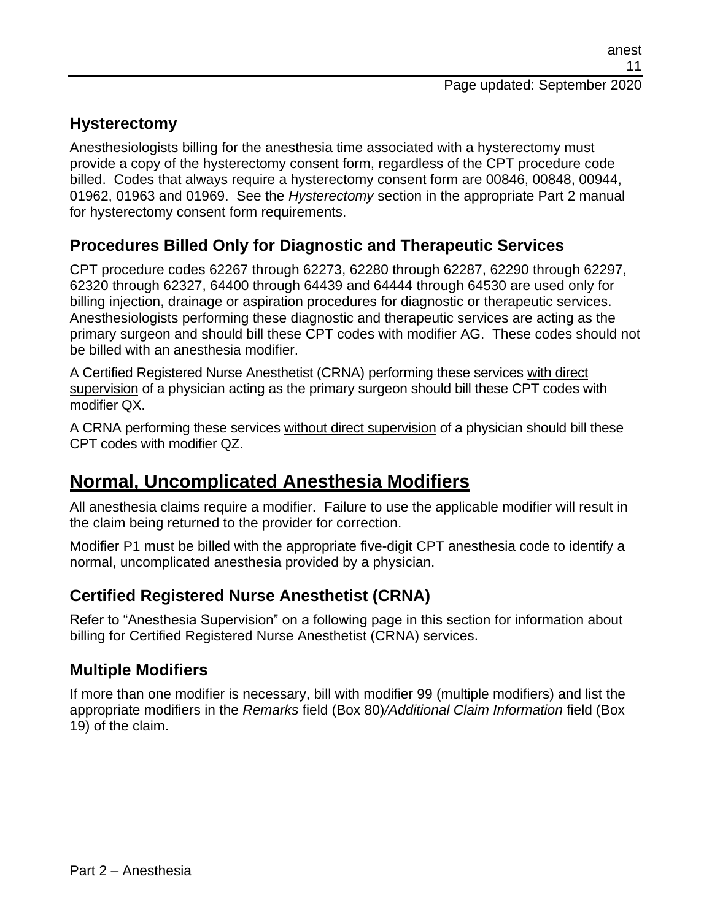### **Hysterectomy**

Anesthesiologists billing for the anesthesia time associated with a hysterectomy must provide a copy of the hysterectomy consent form, regardless of the CPT procedure code billed. Codes that always require a hysterectomy consent form are 00846, 00848, 00944, 01962, 01963 and 01969. See the *Hysterectomy* section in the appropriate Part 2 manual for hysterectomy consent form requirements.

## **Procedures Billed Only for Diagnostic and Therapeutic Services**

CPT procedure codes 62267 through 62273, 62280 through 62287, 62290 through 62297, 62320 through 62327, 64400 through 64439 and 64444 through 64530 are used only for billing injection, drainage or aspiration procedures for diagnostic or therapeutic services. Anesthesiologists performing these diagnostic and therapeutic services are acting as the primary surgeon and should bill these CPT codes with modifier AG. These codes should not be billed with an anesthesia modifier.

A Certified Registered Nurse Anesthetist (CRNA) performing these services with direct supervision of a physician acting as the primary surgeon should bill these CPT codes with modifier QX.

A CRNA performing these services without direct supervision of a physician should bill these CPT codes with modifier QZ.

## **Normal, Uncomplicated Anesthesia Modifiers**

All anesthesia claims require a modifier. Failure to use the applicable modifier will result in the claim being returned to the provider for correction.

Modifier P1 must be billed with the appropriate five-digit CPT anesthesia code to identify a normal, uncomplicated anesthesia provided by a physician.

## **Certified Registered Nurse Anesthetist (CRNA)**

Refer to "Anesthesia Supervision" on a following page in this section for information about billing for Certified Registered Nurse Anesthetist (CRNA) services.

## **Multiple Modifiers**

If more than one modifier is necessary, bill with modifier 99 (multiple modifiers) and list the appropriate modifiers in the *Remarks* field (Box 80)*/Additional Claim Information* field (Box 19) of the claim.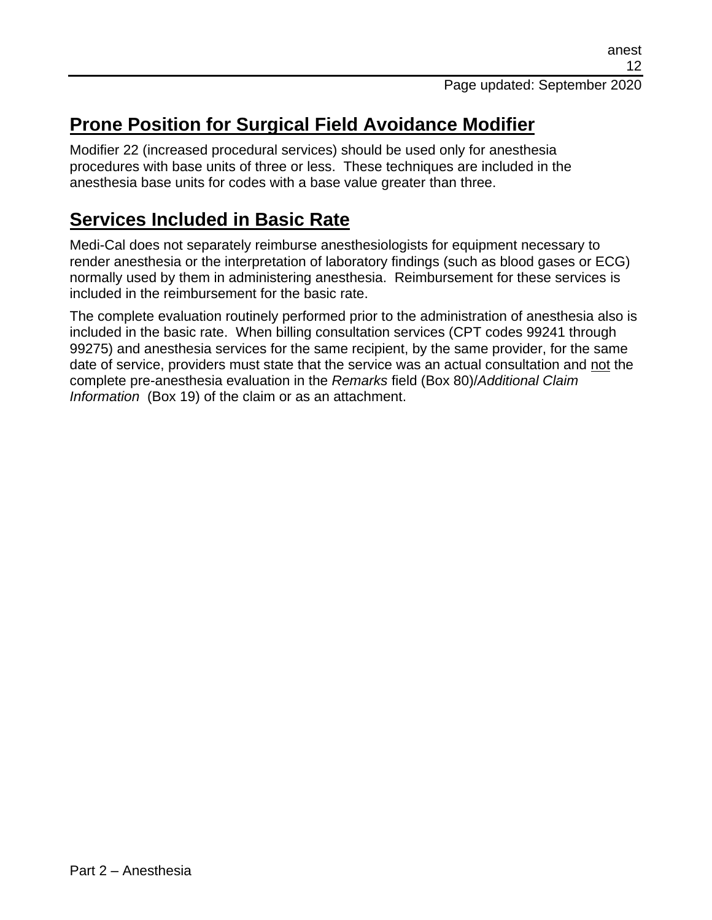# **Prone Position for Surgical Field Avoidance Modifier**

Modifier 22 (increased procedural services) should be used only for anesthesia procedures with base units of three or less. These techniques are included in the anesthesia base units for codes with a base value greater than three.

## **Services Included in Basic Rate**

Medi-Cal does not separately reimburse anesthesiologists for equipment necessary to render anesthesia or the interpretation of laboratory findings (such as blood gases or ECG) normally used by them in administering anesthesia. Reimbursement for these services is included in the reimbursement for the basic rate.

The complete evaluation routinely performed prior to the administration of anesthesia also is included in the basic rate. When billing consultation services (CPT codes 99241 through 99275) and anesthesia services for the same recipient, by the same provider, for the same date of service, providers must state that the service was an actual consultation and not the complete pre-anesthesia evaluation in the *Remarks* field (Box 80)/*Additional Claim Information* (Box 19) of the claim or as an attachment.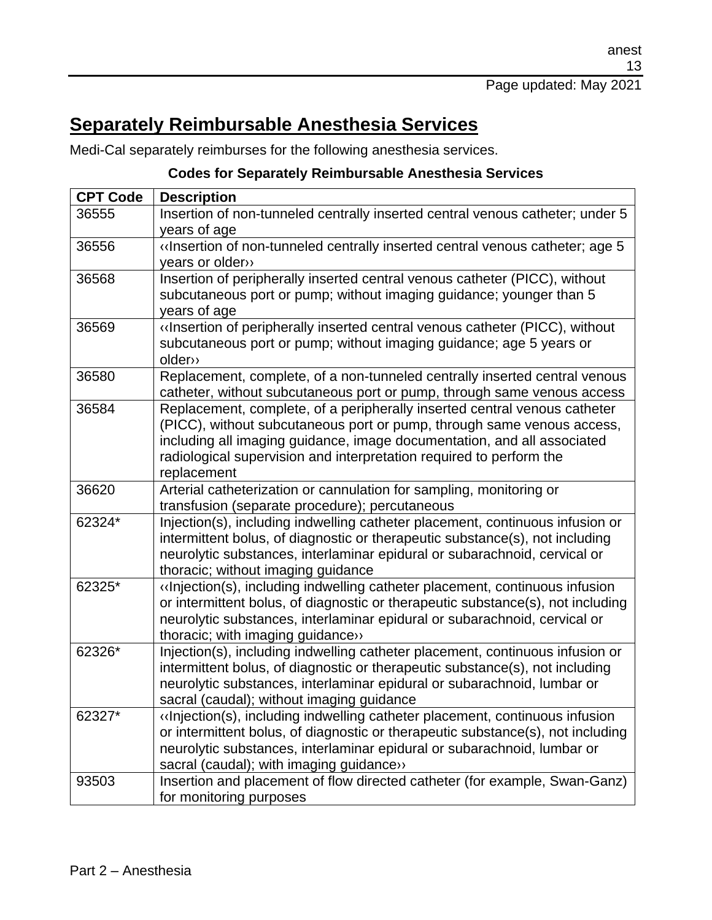# **Separately Reimbursable Anesthesia Services**

Medi-Cal separately reimburses for the following anesthesia services.

#### **Codes for Separately Reimbursable Anesthesia Services**

| <b>CPT Code</b> | <b>Description</b>                                                                                                                                |
|-----------------|---------------------------------------------------------------------------------------------------------------------------------------------------|
| 36555           | Insertion of non-tunneled centrally inserted central venous catheter; under 5                                                                     |
|                 | years of age                                                                                                                                      |
| 36556           | «Insertion of non-tunneled centrally inserted central venous catheter; age 5                                                                      |
|                 | years or older»                                                                                                                                   |
| 36568           | Insertion of peripherally inserted central venous catheter (PICC), without                                                                        |
|                 | subcutaneous port or pump; without imaging guidance; younger than 5                                                                               |
|                 | years of age                                                                                                                                      |
| 36569           | «Insertion of peripherally inserted central venous catheter (PICC), without                                                                       |
|                 | subcutaneous port or pump; without imaging guidance; age 5 years or                                                                               |
|                 | older»                                                                                                                                            |
| 36580           | Replacement, complete, of a non-tunneled centrally inserted central venous                                                                        |
|                 | catheter, without subcutaneous port or pump, through same venous access                                                                           |
| 36584           | Replacement, complete, of a peripherally inserted central venous catheter                                                                         |
|                 | (PICC), without subcutaneous port or pump, through same venous access,<br>including all imaging guidance, image documentation, and all associated |
|                 | radiological supervision and interpretation required to perform the                                                                               |
|                 | replacement                                                                                                                                       |
| 36620           | Arterial catheterization or cannulation for sampling, monitoring or                                                                               |
|                 | transfusion (separate procedure); percutaneous                                                                                                    |
| 62324*          | Injection(s), including indwelling catheter placement, continuous infusion or                                                                     |
|                 | intermittent bolus, of diagnostic or therapeutic substance(s), not including                                                                      |
|                 | neurolytic substances, interlaminar epidural or subarachnoid, cervical or                                                                         |
|                 | thoracic; without imaging guidance                                                                                                                |
| 62325*          | «Injection(s), including indwelling catheter placement, continuous infusion                                                                       |
|                 | or intermittent bolus, of diagnostic or therapeutic substance(s), not including                                                                   |
|                 | neurolytic substances, interlaminar epidural or subarachnoid, cervical or                                                                         |
|                 | thoracic; with imaging guidance»                                                                                                                  |
| 62326*          | Injection(s), including indwelling catheter placement, continuous infusion or                                                                     |
|                 | intermittent bolus, of diagnostic or therapeutic substance(s), not including                                                                      |
|                 | neurolytic substances, interlaminar epidural or subarachnoid, lumbar or                                                                           |
|                 | sacral (caudal); without imaging guidance                                                                                                         |
| 62327*          | «Injection(s), including indwelling catheter placement, continuous infusion                                                                       |
|                 | or intermittent bolus, of diagnostic or therapeutic substance(s), not including                                                                   |
|                 | neurolytic substances, interlaminar epidural or subarachnoid, lumbar or                                                                           |
|                 | sacral (caudal); with imaging guidance»                                                                                                           |
| 93503           | Insertion and placement of flow directed catheter (for example, Swan-Ganz)                                                                        |
|                 | for monitoring purposes                                                                                                                           |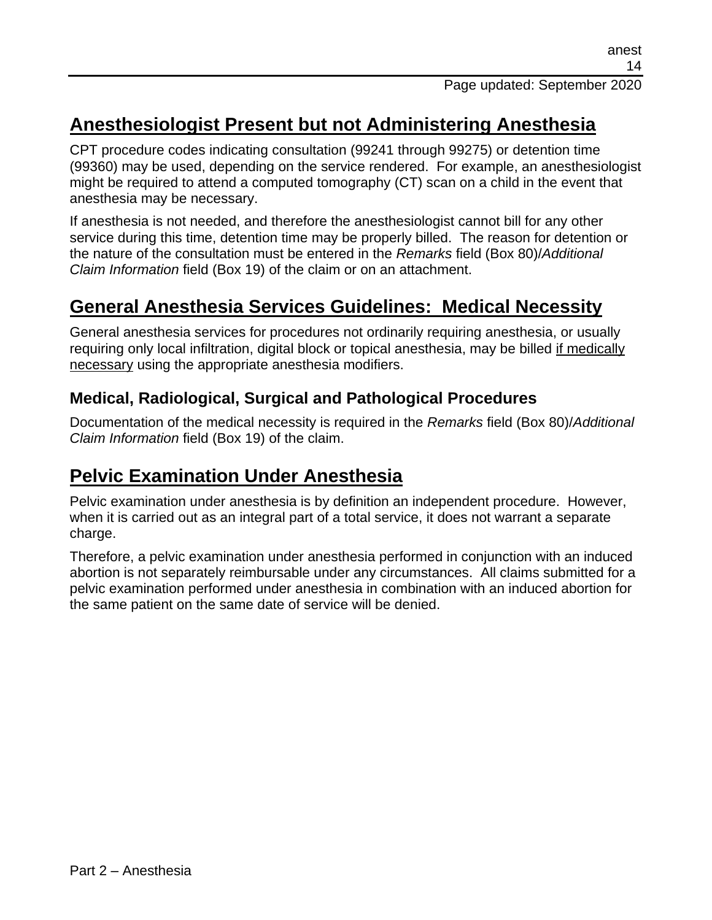## **Anesthesiologist Present but not Administering Anesthesia**

CPT procedure codes indicating consultation (99241 through 99275) or detention time (99360) may be used, depending on the service rendered. For example, an anesthesiologist might be required to attend a computed tomography (CT) scan on a child in the event that anesthesia may be necessary.

If anesthesia is not needed, and therefore the anesthesiologist cannot bill for any other service during this time, detention time may be properly billed. The reason for detention or the nature of the consultation must be entered in the *Remarks* field (Box 80)/*Additional Claim Information* field (Box 19) of the claim or on an attachment.

## **General Anesthesia Services Guidelines: Medical Necessity**

General anesthesia services for procedures not ordinarily requiring anesthesia, or usually requiring only local infiltration, digital block or topical anesthesia, may be billed if medically necessary using the appropriate anesthesia modifiers.

## **Medical, Radiological, Surgical and Pathological Procedures**

Documentation of the medical necessity is required in the *Remarks* field (Box 80)/*Additional Claim Information* field (Box 19) of the claim.

## **Pelvic Examination Under Anesthesia**

Pelvic examination under anesthesia is by definition an independent procedure. However, when it is carried out as an integral part of a total service, it does not warrant a separate charge.

Therefore, a pelvic examination under anesthesia performed in conjunction with an induced abortion is not separately reimbursable under any circumstances. All claims submitted for a pelvic examination performed under anesthesia in combination with an induced abortion for the same patient on the same date of service will be denied.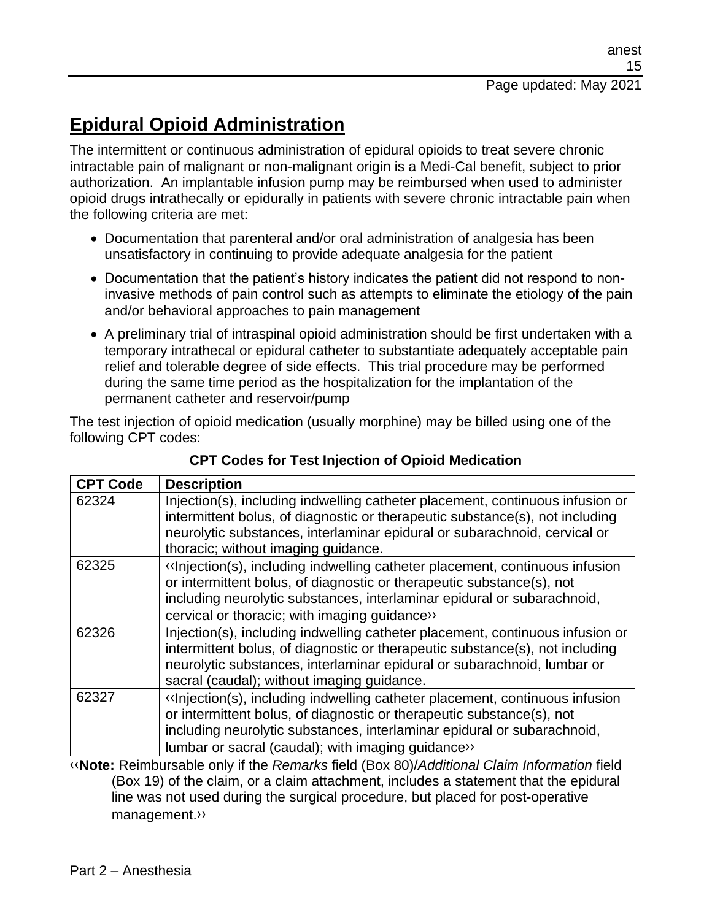# **Epidural Opioid Administration**

The intermittent or continuous administration of epidural opioids to treat severe chronic intractable pain of malignant or non-malignant origin is a Medi-Cal benefit, subject to prior authorization. An implantable infusion pump may be reimbursed when used to administer opioid drugs intrathecally or epidurally in patients with severe chronic intractable pain when the following criteria are met:

- Documentation that parenteral and/or oral administration of analgesia has been unsatisfactory in continuing to provide adequate analgesia for the patient
- Documentation that the patient's history indicates the patient did not respond to noninvasive methods of pain control such as attempts to eliminate the etiology of the pain and/or behavioral approaches to pain management
- A preliminary trial of intraspinal opioid administration should be first undertaken with a temporary intrathecal or epidural catheter to substantiate adequately acceptable pain relief and tolerable degree of side effects. This trial procedure may be performed during the same time period as the hospitalization for the implantation of the permanent catheter and reservoir/pump

The test injection of opioid medication (usually morphine) may be billed using one of the following CPT codes:

| <b>CPT Code</b> | <b>Description</b>                                                                                                                                                                                                                                                                     |
|-----------------|----------------------------------------------------------------------------------------------------------------------------------------------------------------------------------------------------------------------------------------------------------------------------------------|
| 62324           | Injection(s), including indwelling catheter placement, continuous infusion or<br>intermittent bolus, of diagnostic or therapeutic substance(s), not including<br>neurolytic substances, interlaminar epidural or subarachnoid, cervical or<br>thoracic; without imaging guidance.      |
| 62325           | «Injection(s), including indwelling catheter placement, continuous infusion<br>or intermittent bolus, of diagnostic or therapeutic substance(s), not<br>including neurolytic substances, interlaminar epidural or subarachnoid,<br>cervical or thoracic; with imaging guidance>>       |
| 62326           | Injection(s), including indwelling catheter placement, continuous infusion or<br>intermittent bolus, of diagnostic or therapeutic substance(s), not including<br>neurolytic substances, interlaminar epidural or subarachnoid, lumbar or<br>sacral (caudal); without imaging guidance. |
| 62327           | «Injection(s), including indwelling catheter placement, continuous infusion<br>or intermittent bolus, of diagnostic or therapeutic substance(s), not<br>including neurolytic substances, interlaminar epidural or subarachnoid,<br>lumbar or sacral (caudal); with imaging guidance>>  |

#### **CPT Codes for Test Injection of Opioid Medication**

[‹‹](#page-27-0)**Note:** Reimbursable only if the *Remarks* field (Box 80)/*Additional Claim Information* field (Box 19) of the claim, or a claim attachment, includes a statement that the epidural line was not used during the surgical procedure, but placed for post-operative management[.››](#page-27-1)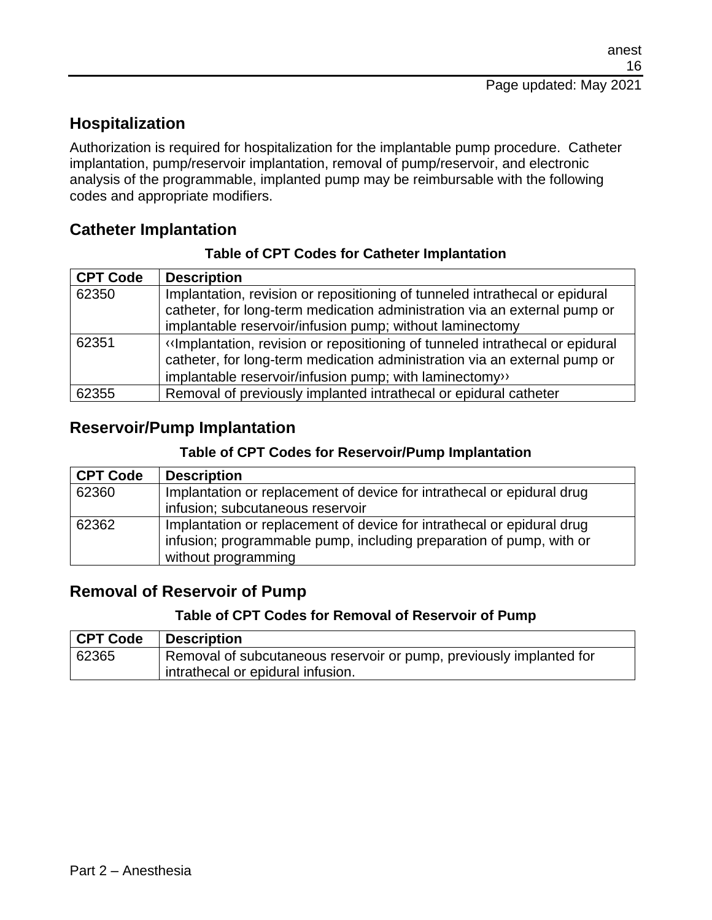## **Hospitalization**

Authorization is required for hospitalization for the implantable pump procedure. Catheter implantation, pump/reservoir implantation, removal of pump/reservoir, and electronic analysis of the programmable, implanted pump may be reimbursable with the following codes and appropriate modifiers.

### **Catheter Implantation**

| <b>CPT Code</b> | <b>Description</b>                                                                                                                                                                                                   |
|-----------------|----------------------------------------------------------------------------------------------------------------------------------------------------------------------------------------------------------------------|
| 62350           | Implantation, revision or repositioning of tunneled intrathecal or epidural<br>catheter, for long-term medication administration via an external pump or<br>implantable reservoir/infusion pump; without laminectomy |
| 62351           | «Implantation, revision or repositioning of tunneled intrathecal or epidural<br>catheter, for long-term medication administration via an external pump or<br>implantable reservoir/infusion pump; with laminectomy>> |
| 62355           | Removal of previously implanted intrathecal or epidural catheter                                                                                                                                                     |

#### **Table of CPT Codes for Catheter Implantation**

### **Reservoir/Pump Implantation**

#### **Table of CPT Codes for Reservoir/Pump Implantation**

| <b>CPT Code</b> | <b>Description</b>                                                     |
|-----------------|------------------------------------------------------------------------|
| 62360           | Implantation or replacement of device for intrathecal or epidural drug |
|                 | infusion; subcutaneous reservoir                                       |
| 62362           | Implantation or replacement of device for intrathecal or epidural drug |
|                 | infusion; programmable pump, including preparation of pump, with or    |
|                 | without programming                                                    |

### **Removal of Reservoir of Pump**

#### **Table of CPT Codes for Removal of Reservoir of Pump**

| <b>CPT Code</b> | Description                                                         |
|-----------------|---------------------------------------------------------------------|
| 62365           | Removal of subcutaneous reservoir or pump, previously implanted for |
|                 | intrathecal or epidural infusion.                                   |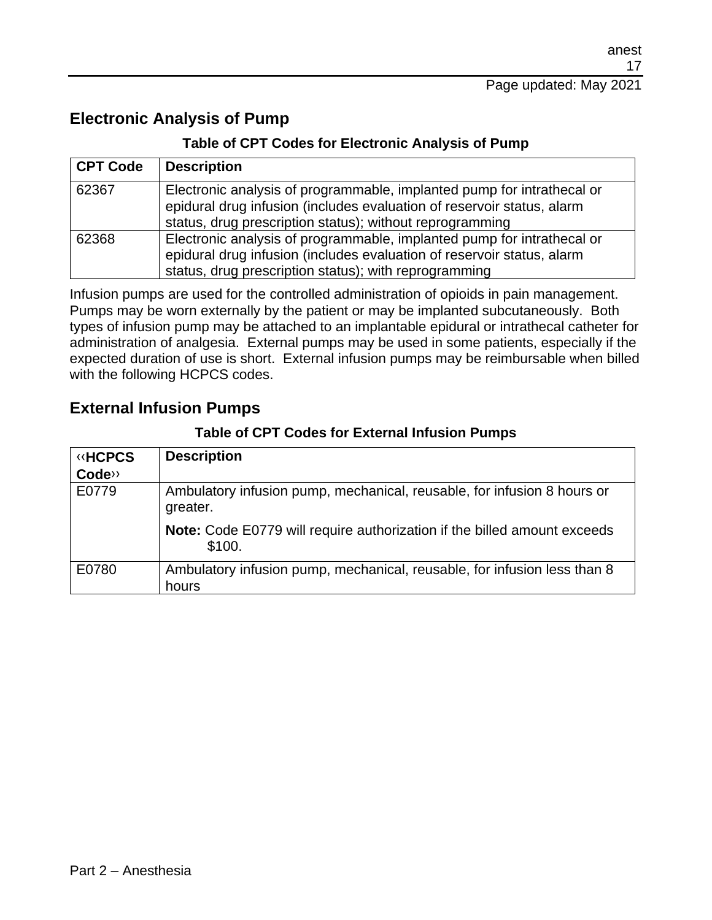### **Electronic Analysis of Pump**

#### **Table of CPT Codes for Electronic Analysis of Pump**

| <b>CPT Code</b> | <b>Description</b>                                                                                                                                                                                           |
|-----------------|--------------------------------------------------------------------------------------------------------------------------------------------------------------------------------------------------------------|
| 62367           | Electronic analysis of programmable, implanted pump for intrathecal or<br>epidural drug infusion (includes evaluation of reservoir status, alarm<br>status, drug prescription status); without reprogramming |
| 62368           | Electronic analysis of programmable, implanted pump for intrathecal or<br>epidural drug infusion (includes evaluation of reservoir status, alarm<br>status, drug prescription status); with reprogramming    |

Infusion pumps are used for the controlled administration of opioids in pain management. Pumps may be worn externally by the patient or may be implanted subcutaneously. Both types of infusion pump may be attached to an implantable epidural or intrathecal catheter for administration of analgesia. External pumps may be used in some patients, especially if the expected duration of use is short. External infusion pumps may be reimbursable when billed with the following HCPCS codes.

### **External Infusion Pumps**

#### **Table of CPT Codes for External Infusion Pumps**

| <b>«HCPCS</b> | <b>Description</b>                                                                  |
|---------------|-------------------------------------------------------------------------------------|
| Code>>        |                                                                                     |
| E0779         | Ambulatory infusion pump, mechanical, reusable, for infusion 8 hours or<br>greater. |
|               | Note: Code E0779 will require authorization if the billed amount exceeds<br>\$100.  |
| E0780         | Ambulatory infusion pump, mechanical, reusable, for infusion less than 8<br>hours   |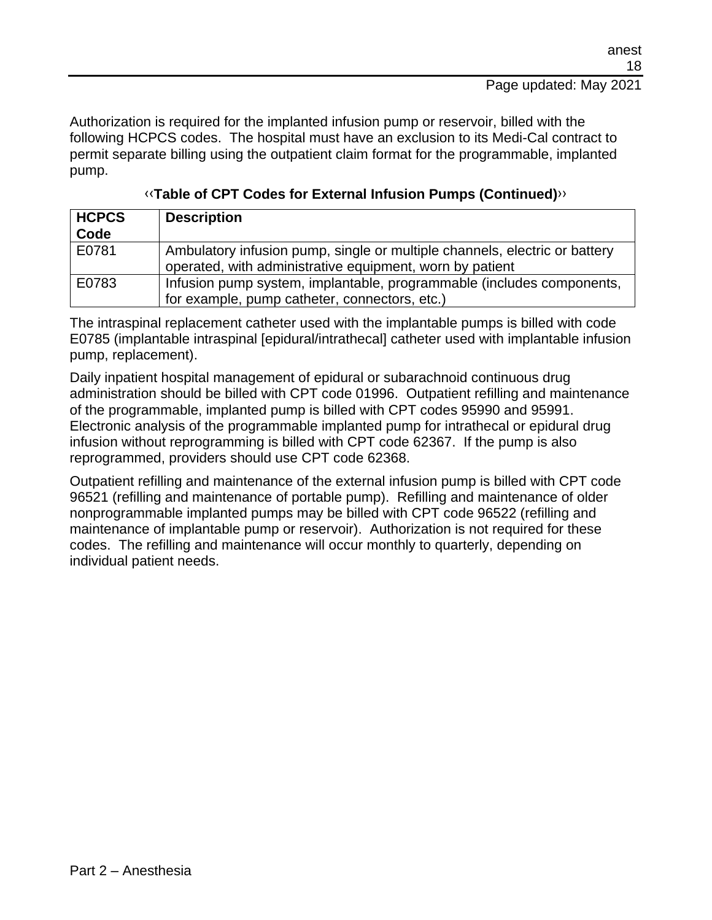Authorization is required for the implanted infusion pump or reservoir, billed with the following HCPCS codes. The hospital must have an exclusion to its Medi-Cal contract to permit separate billing using the outpatient claim format for the programmable, implanted pump.

| HCPCS<br>Code | <b>Description</b>                                                                                                                     |
|---------------|----------------------------------------------------------------------------------------------------------------------------------------|
| E0781         | Ambulatory infusion pump, single or multiple channels, electric or battery<br>operated, with administrative equipment, worn by patient |
| E0783         | Infusion pump system, implantable, programmable (includes components,<br>for example, pump catheter, connectors, etc.)                 |

[‹‹](#page-27-0)**Table of CPT Codes for External Infusion Pumps (Continued)**[››](#page-27-1)

The intraspinal replacement catheter used with the implantable pumps is billed with code E0785 (implantable intraspinal [epidural/intrathecal] catheter used with implantable infusion pump, replacement).

Daily inpatient hospital management of epidural or subarachnoid continuous drug administration should be billed with CPT code 01996. Outpatient refilling and maintenance of the programmable, implanted pump is billed with CPT codes 95990 and 95991. Electronic analysis of the programmable implanted pump for intrathecal or epidural drug infusion without reprogramming is billed with CPT code 62367. If the pump is also reprogrammed, providers should use CPT code 62368.

Outpatient refilling and maintenance of the external infusion pump is billed with CPT code 96521 (refilling and maintenance of portable pump). Refilling and maintenance of older nonprogrammable implanted pumps may be billed with CPT code 96522 (refilling and maintenance of implantable pump or reservoir). Authorization is not required for these codes. The refilling and maintenance will occur monthly to quarterly, depending on individual patient needs.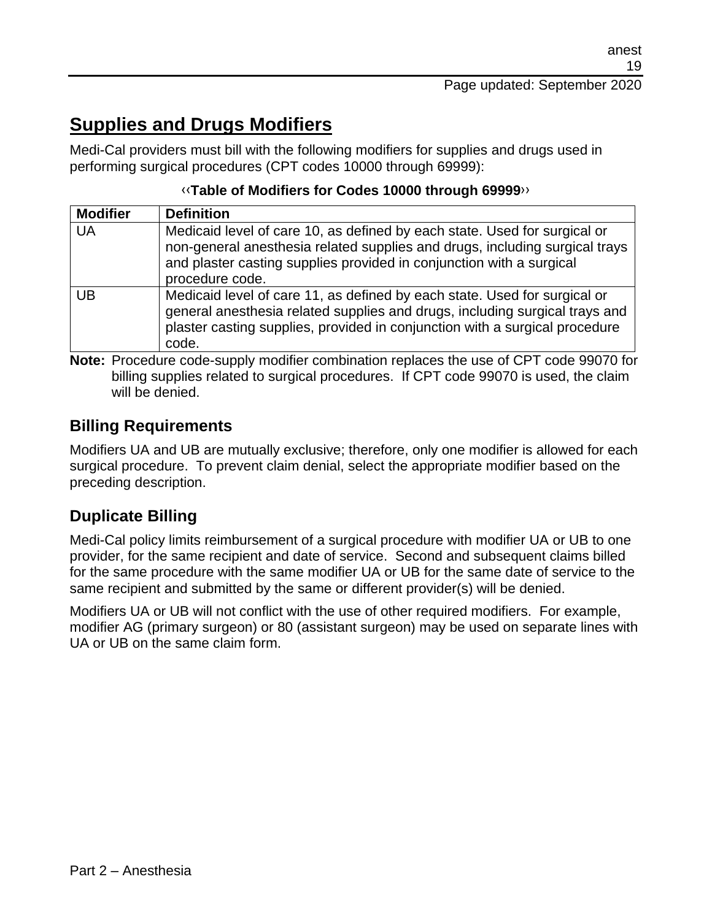## **Supplies and Drugs Modifiers**

Medi-Cal providers must bill with the following modifiers for supplies and drugs used in performing surgical procedures (CPT codes 10000 through 69999):

#### [‹‹](#page-27-0)**Table of Modifiers for Codes 10000 through 69999**[››](#page-27-1)

| <b>Modifier</b> | <b>Definition</b>                                                                                                                                                                                                                                   |
|-----------------|-----------------------------------------------------------------------------------------------------------------------------------------------------------------------------------------------------------------------------------------------------|
| UA              | Medicaid level of care 10, as defined by each state. Used for surgical or<br>non-general anesthesia related supplies and drugs, including surgical trays<br>and plaster casting supplies provided in conjunction with a surgical<br>procedure code. |
| UB              | Medicaid level of care 11, as defined by each state. Used for surgical or<br>general anesthesia related supplies and drugs, including surgical trays and<br>plaster casting supplies, provided in conjunction with a surgical procedure<br>code.    |

**Note:** Procedure code-supply modifier combination replaces the use of CPT code 99070 for billing supplies related to surgical procedures. If CPT code 99070 is used, the claim will be denied.

## **Billing Requirements**

Modifiers UA and UB are mutually exclusive; therefore, only one modifier is allowed for each surgical procedure. To prevent claim denial, select the appropriate modifier based on the preceding description.

### **Duplicate Billing**

Medi-Cal policy limits reimbursement of a surgical procedure with modifier UA or UB to one provider, for the same recipient and date of service. Second and subsequent claims billed for the same procedure with the same modifier UA or UB for the same date of service to the same recipient and submitted by the same or different provider(s) will be denied.

Modifiers UA or UB will not conflict with the use of other required modifiers. For example, modifier AG (primary surgeon) or 80 (assistant surgeon) may be used on separate lines with UA or UB on the same claim form.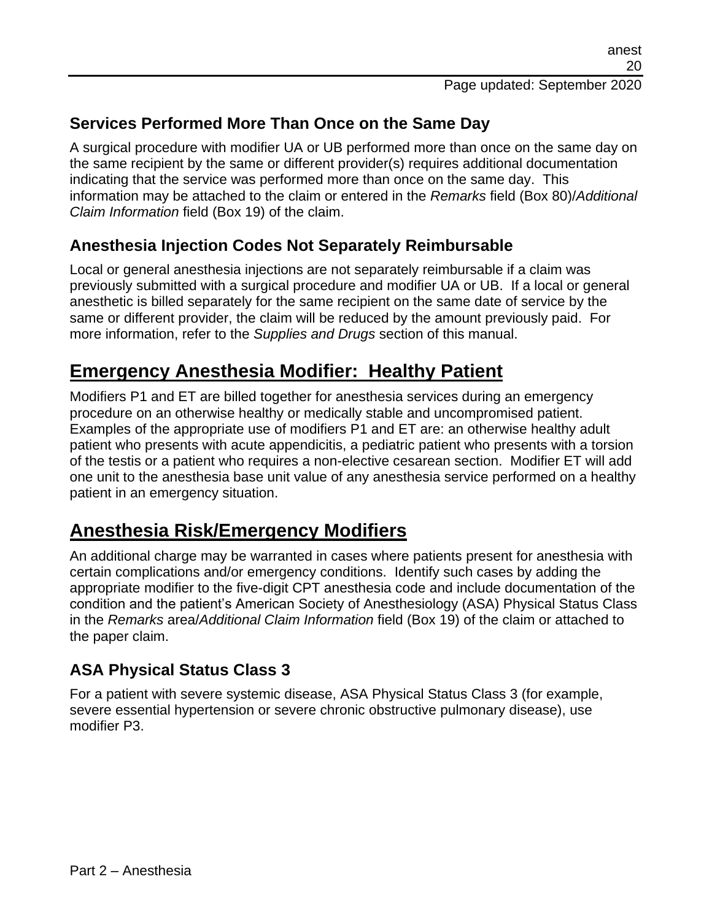## **Services Performed More Than Once on the Same Day**

A surgical procedure with modifier UA or UB performed more than once on the same day on the same recipient by the same or different provider(s) requires additional documentation indicating that the service was performed more than once on the same day. This information may be attached to the claim or entered in the *Remarks* field (Box 80)/*Additional Claim Information* field (Box 19) of the claim.

## **Anesthesia Injection Codes Not Separately Reimbursable**

Local or general anesthesia injections are not separately reimbursable if a claim was previously submitted with a surgical procedure and modifier UA or UB. If a local or general anesthetic is billed separately for the same recipient on the same date of service by the same or different provider, the claim will be reduced by the amount previously paid. For more information, refer to the *Supplies and Drugs* section of this manual.

## **Emergency Anesthesia Modifier: Healthy Patient**

Modifiers P1 and ET are billed together for anesthesia services during an emergency procedure on an otherwise healthy or medically stable and uncompromised patient. Examples of the appropriate use of modifiers P1 and ET are: an otherwise healthy adult patient who presents with acute appendicitis, a pediatric patient who presents with a torsion of the testis or a patient who requires a non-elective cesarean section. Modifier ET will add one unit to the anesthesia base unit value of any anesthesia service performed on a healthy patient in an emergency situation.

## **Anesthesia Risk/Emergency Modifiers**

An additional charge may be warranted in cases where patients present for anesthesia with certain complications and/or emergency conditions. Identify such cases by adding the appropriate modifier to the five-digit CPT anesthesia code and include documentation of the condition and the patient's American Society of Anesthesiology (ASA) Physical Status Class in the *Remarks* area/*Additional Claim Information* field (Box 19) of the claim or attached to the paper claim.

### **ASA Physical Status Class 3**

For a patient with severe systemic disease, ASA Physical Status Class 3 (for example, severe essential hypertension or severe chronic obstructive pulmonary disease), use modifier P3.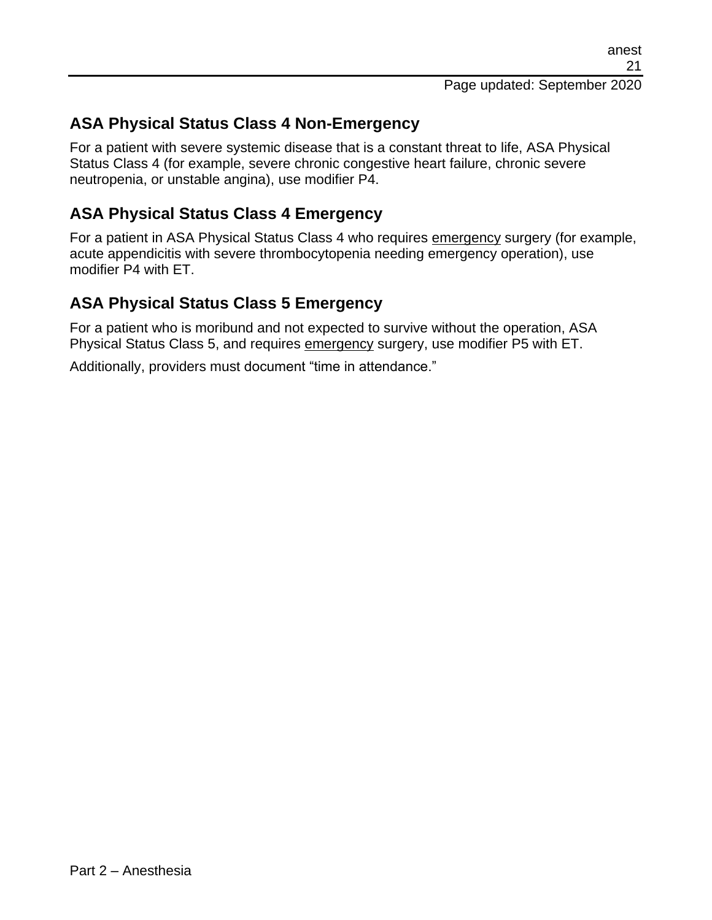## **ASA Physical Status Class 4 Non-Emergency**

For a patient with severe systemic disease that is a constant threat to life, ASA Physical Status Class 4 (for example, severe chronic congestive heart failure, chronic severe neutropenia, or unstable angina), use modifier P4.

### **ASA Physical Status Class 4 Emergency**

For a patient in ASA Physical Status Class 4 who requires emergency surgery (for example, acute appendicitis with severe thrombocytopenia needing emergency operation), use modifier P4 with ET.

### **ASA Physical Status Class 5 Emergency**

For a patient who is moribund and not expected to survive without the operation, ASA Physical Status Class 5, and requires emergency surgery, use modifier P5 with ET.

Additionally, providers must document "time in attendance."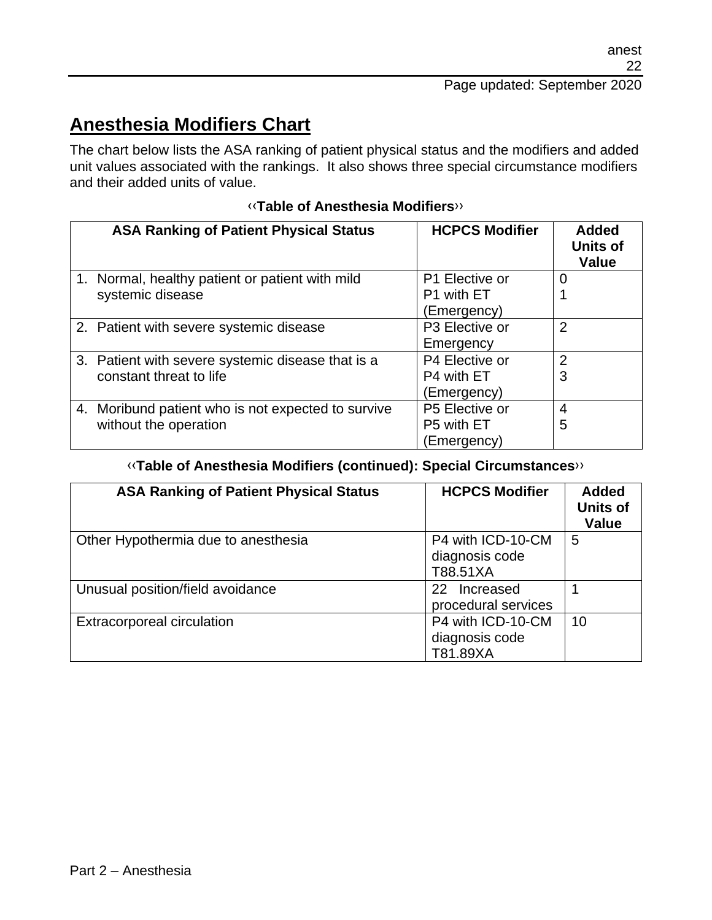## **Anesthesia Modifiers Chart**

The chart below lists the ASA ranking of patient physical status and the modifiers and added unit values associated with the rankings. It also shows three special circumstance modifiers and their added units of value.

| <b>ASA Ranking of Patient Physical Status</b>      | <b>HCPCS Modifier</b> | <b>Added</b><br><b>Units of</b><br><b>Value</b> |
|----------------------------------------------------|-----------------------|-------------------------------------------------|
| 1. Normal, healthy patient or patient with mild    | P1 Elective or        | 0                                               |
| systemic disease                                   | P1 with ET            |                                                 |
|                                                    | (Emergency)           |                                                 |
| 2. Patient with severe systemic disease            | P3 Elective or        | $\overline{2}$                                  |
|                                                    | Emergency             |                                                 |
| 3. Patient with severe systemic disease that is a  | P4 Elective or        | 2                                               |
| constant threat to life                            | P4 with ET            | 3                                               |
|                                                    | (Emergency)           |                                                 |
| 4. Moribund patient who is not expected to survive | P5 Elective or        | $\overline{4}$                                  |
| without the operation                              | P5 with ET            | 5                                               |
|                                                    | (Emergency)           |                                                 |

#### [‹‹](#page-27-0)**Table of Anesthesia Modifiers**[››](#page-27-1)

#### [‹‹](#page-27-0)**Table of Anesthesia Modifiers (continued): Special Circumstances**[››](#page-27-1)

| <b>ASA Ranking of Patient Physical Status</b> | <b>HCPCS Modifier</b>                               | <b>Added</b><br><b>Units of</b><br><b>Value</b> |
|-----------------------------------------------|-----------------------------------------------------|-------------------------------------------------|
| Other Hypothermia due to anesthesia           | P4 with ICD-10-CM<br>diagnosis code<br>T88.51XA     | 5                                               |
| Unusual position/field avoidance              | 22 <sub>1</sub><br>Increased<br>procedural services |                                                 |
| <b>Extracorporeal circulation</b>             | P4 with ICD-10-CM<br>diagnosis code<br>T81.89XA     | 10                                              |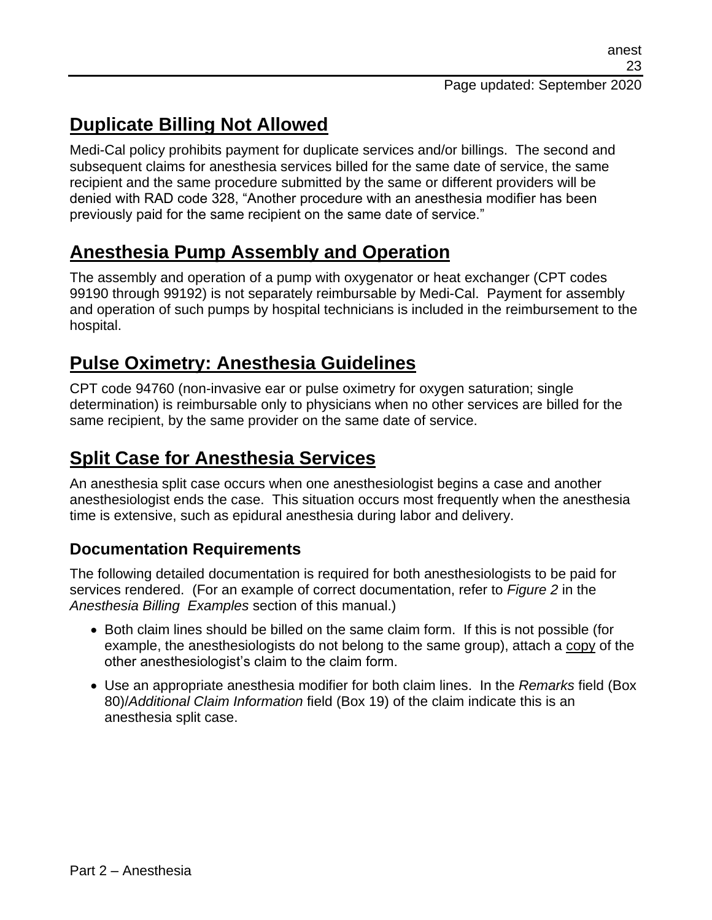# **Duplicate Billing Not Allowed**

Medi-Cal policy prohibits payment for duplicate services and/or billings. The second and subsequent claims for anesthesia services billed for the same date of service, the same recipient and the same procedure submitted by the same or different providers will be denied with RAD code 328, "Another procedure with an anesthesia modifier has been previously paid for the same recipient on the same date of service."

## **Anesthesia Pump Assembly and Operation**

The assembly and operation of a pump with oxygenator or heat exchanger (CPT codes 99190 through 99192) is not separately reimbursable by Medi-Cal. Payment for assembly and operation of such pumps by hospital technicians is included in the reimbursement to the hospital.

## **Pulse Oximetry: Anesthesia Guidelines**

CPT code 94760 (non-invasive ear or pulse oximetry for oxygen saturation; single determination) is reimbursable only to physicians when no other services are billed for the same recipient, by the same provider on the same date of service.

## **Split Case for Anesthesia Services**

An anesthesia split case occurs when one anesthesiologist begins a case and another anesthesiologist ends the case. This situation occurs most frequently when the anesthesia time is extensive, such as epidural anesthesia during labor and delivery.

## **Documentation Requirements**

The following detailed documentation is required for both anesthesiologists to be paid for services rendered. (For an example of correct documentation, refer to *Figure 2* in the *Anesthesia Billing Examples* section of this manual.)

- Both claim lines should be billed on the same claim form. If this is not possible (for example, the anesthesiologists do not belong to the same group), attach a copy of the other anesthesiologist's claim to the claim form.
- Use an appropriate anesthesia modifier for both claim lines. In the *Remarks* field (Box 80)/*Additional Claim Information* field (Box 19) of the claim indicate this is an anesthesia split case.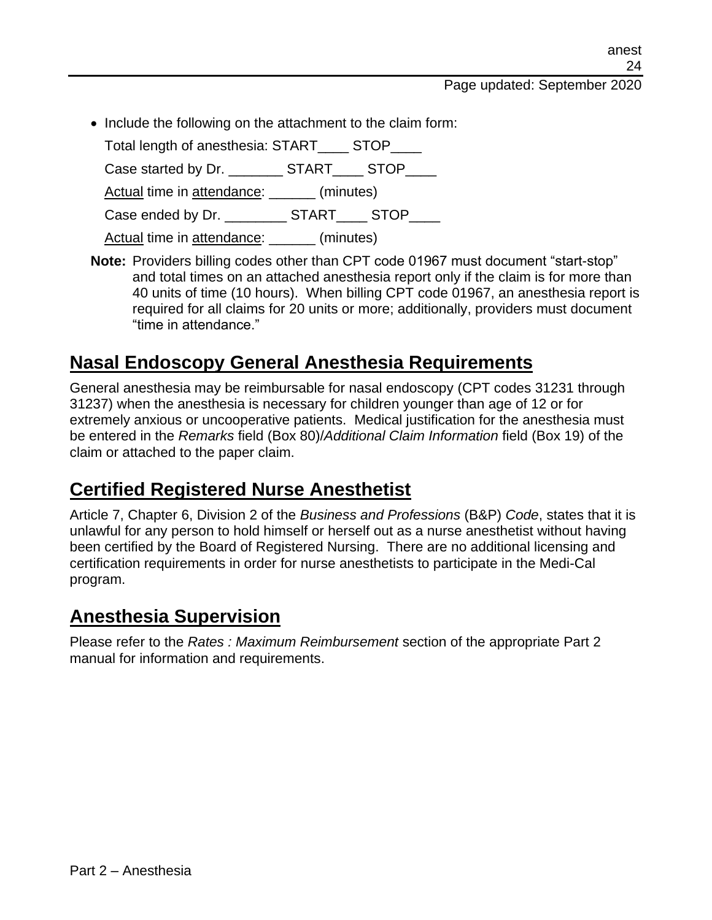Page updated: September 2020

• Include the following on the attachment to the claim form:

Total length of anesthesia: START STOP

Case started by Dr. \_\_\_\_\_\_\_\_\_ START\_\_\_\_\_ STOP

Actual time in attendance: \_\_\_\_\_\_ (minutes)

Case ended by Dr. \_\_\_\_\_\_\_\_\_ START\_\_\_\_ STOP\_\_\_\_

Actual time in attendance: \_\_\_\_\_\_ (minutes)

**Note:** Providers billing codes other than CPT code 01967 must document "start-stop" and total times on an attached anesthesia report only if the claim is for more than 40 units of time (10 hours). When billing CPT code 01967, an anesthesia report is required for all claims for 20 units or more; additionally, providers must document "time in attendance."

## **Nasal Endoscopy General Anesthesia Requirements**

General anesthesia may be reimbursable for nasal endoscopy (CPT codes 31231 through 31237) when the anesthesia is necessary for children younger than age of 12 or for extremely anxious or uncooperative patients. Medical justification for the anesthesia must be entered in the *Remarks* field (Box 80)/*Additional Claim Information* field (Box 19) of the claim or attached to the paper claim.

## **Certified Registered Nurse Anesthetist**

Article 7, Chapter 6, Division 2 of the *Business and Professions* (B&P) *Code*, states that it is unlawful for any person to hold himself or herself out as a nurse anesthetist without having been certified by the Board of Registered Nursing. There are no additional licensing and certification requirements in order for nurse anesthetists to participate in the Medi-Cal program.

## **Anesthesia Supervision**

Please refer to the *Rates : Maximum Reimbursement* section of the appropriate Part 2 manual for information and requirements.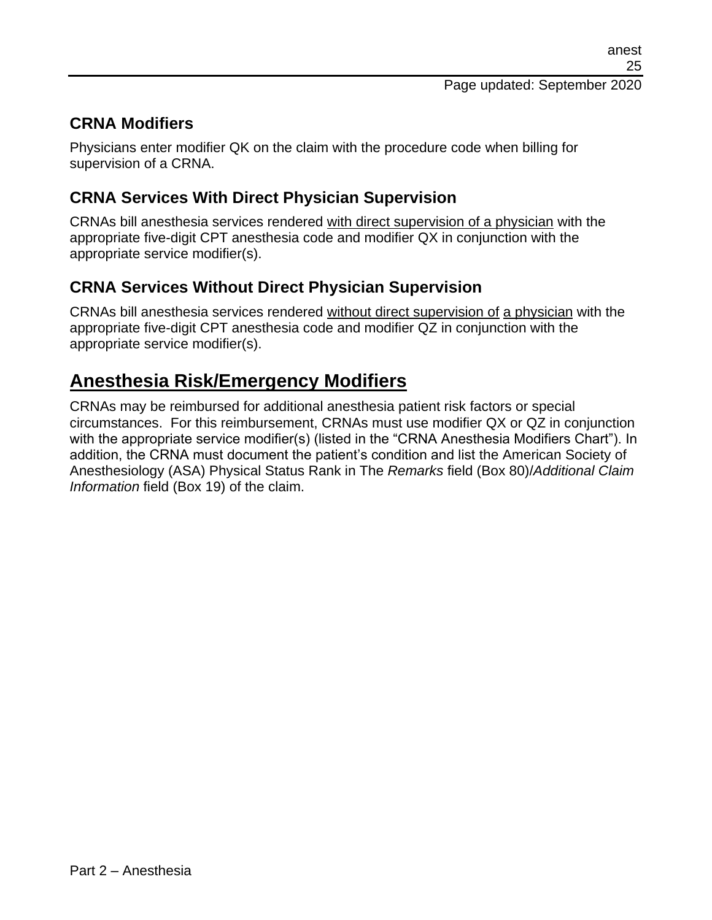## **CRNA Modifiers**

Physicians enter modifier QK on the claim with the procedure code when billing for supervision of a CRNA.

## **CRNA Services With Direct Physician Supervision**

CRNAs bill anesthesia services rendered with direct supervision of a physician with the appropriate five-digit CPT anesthesia code and modifier QX in conjunction with the appropriate service modifier(s).

## **CRNA Services Without Direct Physician Supervision**

CRNAs bill anesthesia services rendered without direct supervision of a physician with the appropriate five-digit CPT anesthesia code and modifier QZ in conjunction with the appropriate service modifier(s).

## **Anesthesia Risk/Emergency Modifiers**

CRNAs may be reimbursed for additional anesthesia patient risk factors or special circumstances. For this reimbursement, CRNAs must use modifier QX or QZ in conjunction with the appropriate service modifier(s) (listed in the "CRNA Anesthesia Modifiers Chart"). In addition, the CRNA must document the patient's condition and list the American Society of Anesthesiology (ASA) Physical Status Rank in The *Remarks* field (Box 80)/*Additional Claim Information* field (Box 19) of the claim.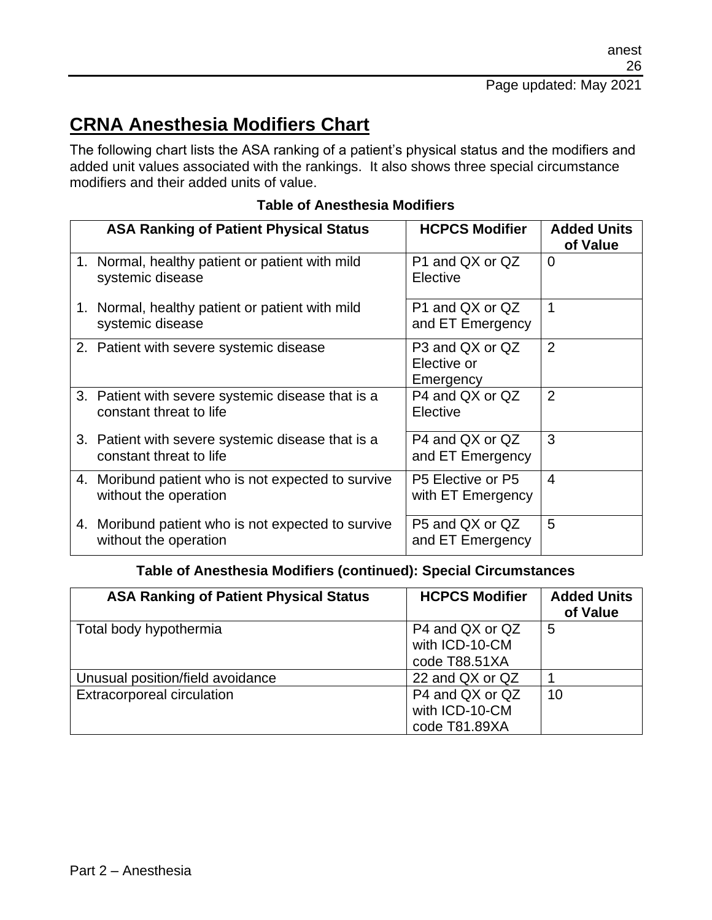# **CRNA Anesthesia Modifiers Chart**

The following chart lists the ASA ranking of a patient's physical status and the modifiers and added unit values associated with the rankings. It also shows three special circumstance modifiers and their added units of value.

|    | <b>ASA Ranking of Patient Physical Status</b>                                | <b>HCPCS Modifier</b>                       | <b>Added Units</b><br>of Value |
|----|------------------------------------------------------------------------------|---------------------------------------------|--------------------------------|
| 1. | Normal, healthy patient or patient with mild<br>systemic disease             | P1 and QX or QZ<br>Elective                 | $\Omega$                       |
|    | 1. Normal, healthy patient or patient with mild<br>systemic disease          | P1 and QX or QZ<br>and ET Emergency         | 1                              |
|    | 2. Patient with severe systemic disease                                      | P3 and QX or QZ<br>Elective or<br>Emergency | $\overline{2}$                 |
|    | 3. Patient with severe systemic disease that is a<br>constant threat to life | P4 and QX or QZ<br>Elective                 | $\overline{2}$                 |
|    | 3. Patient with severe systemic disease that is a<br>constant threat to life | P4 and QX or QZ<br>and ET Emergency         | 3                              |
|    | 4. Moribund patient who is not expected to survive<br>without the operation  | P5 Elective or P5<br>with ET Emergency      | 4                              |
|    | 4. Moribund patient who is not expected to survive<br>without the operation  | P5 and QX or QZ<br>and ET Emergency         | 5                              |

#### **Table of Anesthesia Modifiers**

#### **Table of Anesthesia Modifiers (continued): Special Circumstances**

| <b>ASA Ranking of Patient Physical Status</b> | <b>HCPCS Modifier</b>                              | <b>Added Units</b><br>of Value |
|-----------------------------------------------|----------------------------------------------------|--------------------------------|
| Total body hypothermia                        | P4 and QX or QZ<br>with ICD-10-CM<br>code T88.51XA | 5                              |
| Unusual position/field avoidance              | 22 and QX or QZ                                    |                                |
| Extracorporeal circulation                    | P4 and QX or QZ<br>with ICD-10-CM<br>code T81.89XA | 10                             |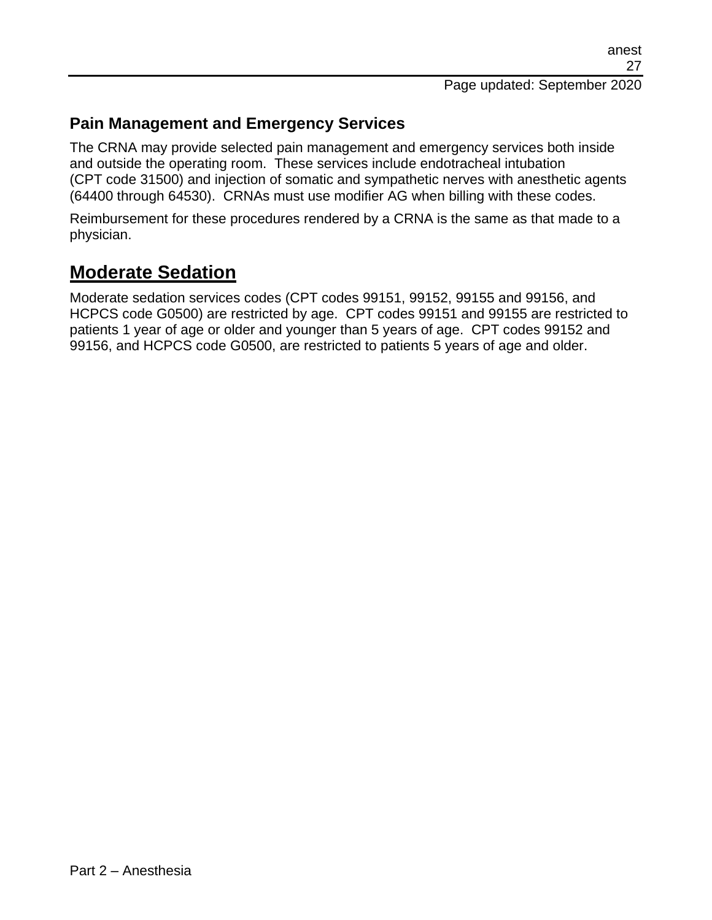### **Pain Management and Emergency Services**

The CRNA may provide selected pain management and emergency services both inside and outside the operating room. These services include endotracheal intubation (CPT code 31500) and injection of somatic and sympathetic nerves with anesthetic agents (64400 through 64530). CRNAs must use modifier AG when billing with these codes.

Reimbursement for these procedures rendered by a CRNA is the same as that made to a physician.

## **Moderate Sedation**

Moderate sedation services codes (CPT codes 99151, 99152, 99155 and 99156, and HCPCS code G0500) are restricted by age. CPT codes 99151 and 99155 are restricted to patients 1 year of age or older and younger than 5 years of age. CPT codes 99152 and 99156, and HCPCS code G0500, are restricted to patients 5 years of age and older.